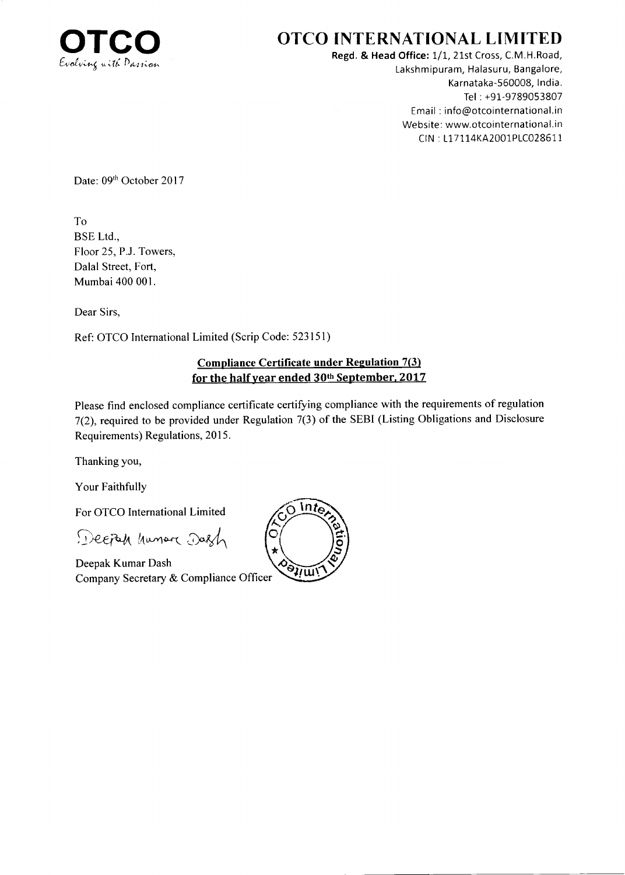

## OTCO INTERNATIONAL LIMITED

Regd. & Head Office: 1/1, 21st Cross, C.M.H.Road, Lakshmipuram, Halasuru, Bangalore, Karnataka-560008, lndia. Tel : +91-9789053807 Email : info@otcointernational.in Website: www.otcointernational.in ClN : L17114KA2001P1C028611

Date: 09th October 2017

To BSE Ltd., Floor 25, P.J. Towers, Dalal Street, Fort, Mumbai400 001.

Dear Sirs,

Ref: OTCO International Limited (Scrip Code: 523151)

## Compliance Certificate under Regulation 7(3) for the half year ended  $30<sup>th</sup>$  September, 2017

Please find enclosed compliance certificate certifying compliance with the requirements of regulation 7(2), required to be provided under Regulation 7(3) of the SEBI (Listing Obligations and Disclosure Requirements) Regulations, 2015.

Thanking you,

Your Faithfully

For OTCO Intemational Limited

Deepah hunar Dash

Deepak Kumar Dash Company Secretary & Compliance Officer